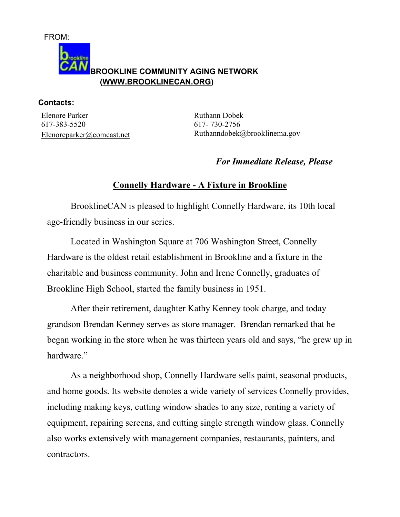

**Contacts:** 

Elenore Parker 617-383-5520 Elenoreparker@comcast.net Ruthann Dobek 617- 730-2756 Ruthanndobek@brooklinema.gov

## *For Immediate Release, Please*

## **Connelly Hardware - A Fixture in Brookline**

 BrooklineCAN is pleased to highlight Connelly Hardware, its 10th local age-friendly business in our series.

 Located in Washington Square at 706 Washington Street, Connelly Hardware is the oldest retail establishment in Brookline and a fixture in the charitable and business community. John and Irene Connelly, graduates of Brookline High School, started the family business in 1951.

 After their retirement, daughter Kathy Kenney took charge, and today grandson Brendan Kenney serves as store manager. Brendan remarked that he began working in the store when he was thirteen years old and says, "he grew up in hardware."

 As a neighborhood shop, Connelly Hardware sells paint, seasonal products, and home goods. Its website denotes a wide variety of services Connelly provides, including making keys, cutting window shades to any size, renting a variety of equipment, repairing screens, and cutting single strength window glass. Connelly also works extensively with management companies, restaurants, painters, and contractors.